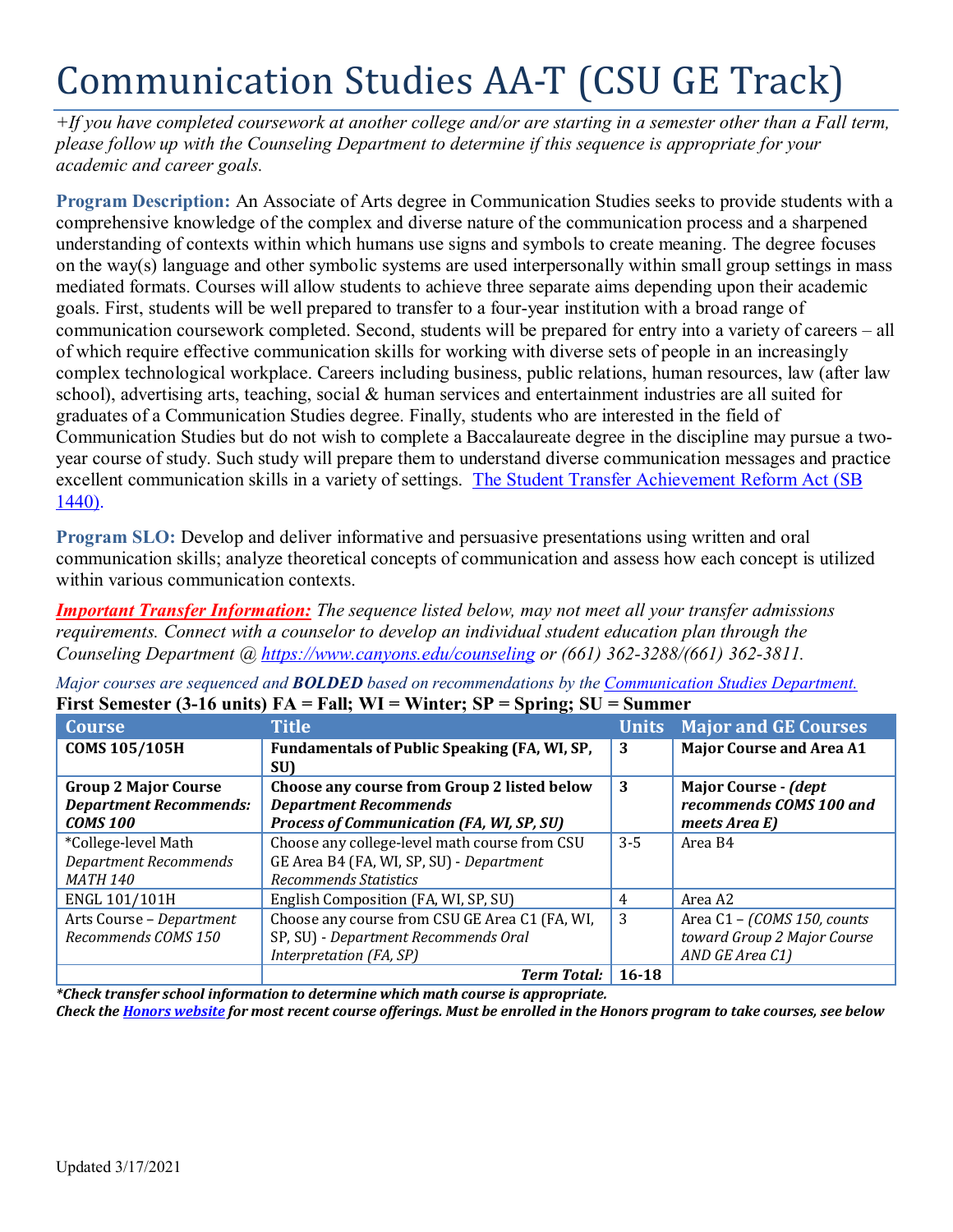# Communication Studies AA-T (CSU GE Track)

*+If you have completed coursework at another college and/or are starting in a semester other than a Fall term, please follow up with the Counseling Department to determine if this sequence is appropriate for your academic and career goals.* 

**Program Description:** An Associate of Arts degree in Communication Studies seeks to provide students with a comprehensive knowledge of the complex and diverse nature of the communication process and a sharpened understanding of contexts within which humans use signs and symbols to create meaning. The degree focuses on the way(s) language and other symbolic systems are used interpersonally within small group settings in mass mediated formats. Courses will allow students to achieve three separate aims depending upon their academic goals. First, students will be well prepared to transfer to a four-year institution with a broad range of communication coursework completed. Second, students will be prepared for entry into a variety of careers – all of which require effective communication skills for working with diverse sets of people in an increasingly complex technological workplace. Careers including business, public relations, human resources, law (after law school), advertising arts, teaching, social & human services and entertainment industries are all suited for graduates of a Communication Studies degree. Finally, students who are interested in the field of Communication Studies but do not wish to complete a Baccalaureate degree in the discipline may pursue a twoyear course of study. Such study will prepare them to understand diverse communication messages and practice excellent communication skills in a variety of settings. [The Student Transfer Achievement Reform Act \(SB](https://www2.calstate.edu/apply/transfer/Pages/ccc-associate-degree-for-transfer.aspx)  [1440\).](https://www2.calstate.edu/apply/transfer/Pages/ccc-associate-degree-for-transfer.aspx)

**Program SLO:** Develop and deliver informative and persuasive presentations using written and oral communication skills; analyze theoretical concepts of communication and assess how each concept is utilized within various communication contexts.

*Important Transfer Information: The sequence listed below, may not meet all your transfer admissions requirements. Connect with a counselor to develop an individual student education plan through the Counseling Department @<https://www.canyons.edu/counseling> or (661) 362-3288/(661) 362-3811.*

|                               | $\mathbf{r}$ and $\mathbf{r}$ are $\mathbf{r}$ and $\mathbf{r}$ and $\mathbf{r}$ are $\mathbf{r}$ and $\mathbf{r}$ are $\mathbf{r}$<br>$v_{\rm pump}, v_{\rm v}$ |           |                                   |
|-------------------------------|------------------------------------------------------------------------------------------------------------------------------------------------------------------|-----------|-----------------------------------|
| <b>Course</b>                 | <b>Title</b>                                                                                                                                                     |           | <b>Units Major and GE Courses</b> |
| <b>COMS 105/105H</b>          | <b>Fundamentals of Public Speaking (FA, WI, SP,</b>                                                                                                              | 3         | <b>Major Course and Area A1</b>   |
|                               | <b>SU)</b>                                                                                                                                                       |           |                                   |
| <b>Group 2 Major Course</b>   | Choose any course from Group 2 listed below                                                                                                                      | 3         | <b>Major Course - (dept</b>       |
| <b>Department Recommends:</b> | <b>Department Recommends</b>                                                                                                                                     |           | recommends COMS 100 and           |
| <b>COMS 100</b>               | <b>Process of Communication (FA, WI, SP, SU)</b>                                                                                                                 |           | meets Area E)                     |
| *College-level Math           | Choose any college-level math course from CSU                                                                                                                    | $3-5$     | Area B4                           |
| <b>Department Recommends</b>  | GE Area B4 (FA, WI, SP, SU) - Department                                                                                                                         |           |                                   |
| <b>MATH 140</b>               | <b>Recommends Statistics</b>                                                                                                                                     |           |                                   |
| ENGL 101/101H                 | English Composition (FA, WI, SP, SU)                                                                                                                             | 4         | Area A2                           |
| Arts Course - Department      | Choose any course from CSU GE Area C1 (FA, WI,                                                                                                                   | 3         | Area C1 - (COMS 150, counts       |
| Recommends COMS 150           | SP, SU) - Department Recommends Oral                                                                                                                             |           | toward Group 2 Major Course       |
|                               | Interpretation (FA, SP)                                                                                                                                          |           | AND GE Area C1)                   |
|                               | <b>Term Total:</b>                                                                                                                                               | $16 - 18$ |                                   |

*Major courses are sequenced and BOLDED based on recommendations by the [Communication Studies Department.](https://www.canyons.edu/academics/communications/index.php)*  **First Semester (3-16 units) FA = Fall; WI = Winter; SP = Spring; SU = Summer** 

*\*Check transfer school information to determine which math course is appropriate.* 

*Check the [Honors website](https://www.canyons.edu/academics/honors/index.php) for most recent course offerings. Must be enrolled in the Honors program to take courses, see below*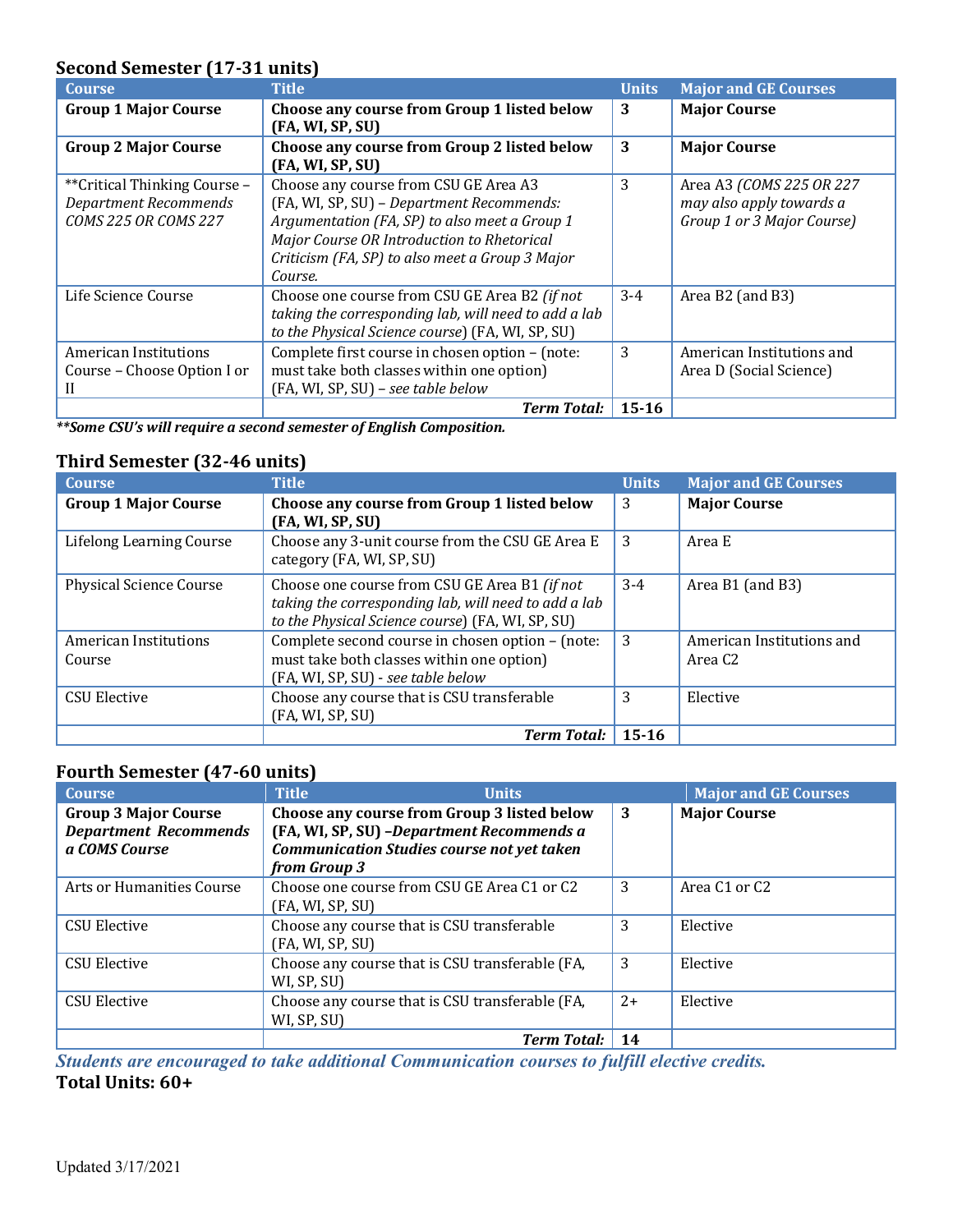## **Second Semester (17-31 units)**

| <b>Course</b>                                                                                | <b>Title</b>                                                                                                                                                                                                                                    | <b>Units</b> | <b>Major and GE Courses</b>                                                         |
|----------------------------------------------------------------------------------------------|-------------------------------------------------------------------------------------------------------------------------------------------------------------------------------------------------------------------------------------------------|--------------|-------------------------------------------------------------------------------------|
| <b>Group 1 Major Course</b>                                                                  | Choose any course from Group 1 listed below<br>(FA, WI, SP, SU)                                                                                                                                                                                 | 3            | <b>Major Course</b>                                                                 |
| <b>Group 2 Major Course</b>                                                                  | Choose any course from Group 2 listed below<br>(FA, WI, SP, SU)                                                                                                                                                                                 | 3            | <b>Major Course</b>                                                                 |
| ** Critical Thinking Course -<br><b>Department Recommends</b><br><b>COMS 225 OR COMS 227</b> | Choose any course from CSU GE Area A3<br>(FA, WI, SP, SU) - Department Recommends:<br>Argumentation (FA, SP) to also meet a Group 1<br>Major Course OR Introduction to Rhetorical<br>Criticism (FA, SP) to also meet a Group 3 Major<br>Course. | 3            | Area A3 (COMS 225 OR 227)<br>may also apply towards a<br>Group 1 or 3 Major Course) |
| Life Science Course                                                                          | Choose one course from CSU GE Area B2 (if not<br>taking the corresponding lab, will need to add a lab<br>to the Physical Science course) (FA, WI, SP, SU)                                                                                       | $3 - 4$      | Area B2 (and B3)                                                                    |
| American Institutions<br>Course - Choose Option I or                                         | Complete first course in chosen option - (note:<br>must take both classes within one option)<br>(FA, WI, SP, SU) - see table below                                                                                                              | 3            | American Institutions and<br>Area D (Social Science)                                |
|                                                                                              | <b>Term Total:</b>                                                                                                                                                                                                                              | $15 - 16$    |                                                                                     |

*\*\*Some CSU's will require a second semester of English Composition.* 

## **Third Semester (32-46 units)**

| <b>Course</b>                   | <b>Title</b>                                                                                                                                              | <b>Units</b> | <b>Major and GE Courses</b>                      |
|---------------------------------|-----------------------------------------------------------------------------------------------------------------------------------------------------------|--------------|--------------------------------------------------|
| <b>Group 1 Major Course</b>     | Choose any course from Group 1 listed below<br>(FA, WI, SP, SU)                                                                                           | 3            | <b>Major Course</b>                              |
| Lifelong Learning Course        | Choose any 3-unit course from the CSU GE Area E<br>category (FA, WI, SP, SU)                                                                              | 3            | Area E                                           |
| <b>Physical Science Course</b>  | Choose one course from CSU GE Area B1 (if not<br>taking the corresponding lab, will need to add a lab<br>to the Physical Science course) (FA, WI, SP, SU) | $3-4$        | Area B1 (and B3)                                 |
| American Institutions<br>Course | Complete second course in chosen option - (note:<br>must take both classes within one option)<br>(FA, WI, SP, SU) - see table below                       | 3            | American Institutions and<br>Area C <sub>2</sub> |
| <b>CSU Elective</b>             | Choose any course that is CSU transferable<br>(FA, WI, SP, SU)                                                                                            | 3            | Elective                                         |
|                                 | <b>Term Total:</b>                                                                                                                                        | $15 - 16$    |                                                  |

## **Fourth Semester (47-60 units)**

| <b>Course</b>                                                                | <b>Title</b><br><b>Units</b>                                                                                                                                   |      | <b>Major and GE Courses</b>           |
|------------------------------------------------------------------------------|----------------------------------------------------------------------------------------------------------------------------------------------------------------|------|---------------------------------------|
| <b>Group 3 Major Course</b><br><b>Department Recommends</b><br>a COMS Course | Choose any course from Group 3 listed below<br>(FA, WI, SP, SU) - Department Recommends a<br><b>Communication Studies course not yet taken</b><br>from Group 3 | -3   | <b>Major Course</b>                   |
| Arts or Humanities Course                                                    | Choose one course from CSU GE Area C1 or C2<br>(FA, WI, SP, SU)                                                                                                | 3    | Area C <sub>1</sub> or C <sub>2</sub> |
| <b>CSU Elective</b>                                                          | Choose any course that is CSU transferable<br>(FA, WI, SP, SU)                                                                                                 | 3    | Elective                              |
| <b>CSU Elective</b>                                                          | Choose any course that is CSU transferable (FA,<br>WI, SP, SU)                                                                                                 | 3    | Elective                              |
| <b>CSU Elective</b>                                                          | Choose any course that is CSU transferable (FA,<br>WI, SP, SU)                                                                                                 | $2+$ | Elective                              |
|                                                                              | <b>Term Total:</b>                                                                                                                                             | 14   |                                       |

*Students are encouraged to take additional Communication courses to fulfill elective credits.*  **Total Units: 60+**